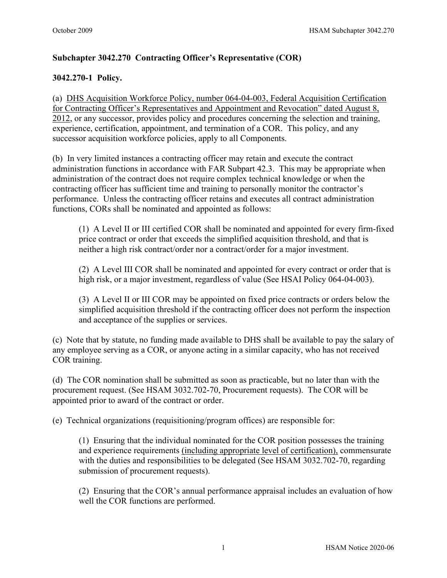# **Subchapter 3042.270 Contracting Officer's Representative (COR)**

## **3042.270-1 Policy.**

(a) [DHS Acquisition Workforce Policy, number 064-04-003, Federal Acquisition Certification](http://dhsconnect.dhs.gov/org/comp/mgmt/cpo/paw/Pages/COTRCertification.aspx)  [for Contracting Officer's Representatives and Appointment and Revocation" dated August 8,](http://dhsconnect.dhs.gov/org/comp/mgmt/cpo/paw/Pages/COTRCertification.aspx)  [2012,](http://dhsconnect.dhs.gov/org/comp/mgmt/cpo/paw/Pages/COTRCertification.aspx) or any successor, provides policy and procedures concerning the selection and training, experience, certification, appointment, and termination of a COR. This policy, and any successor acquisition workforce policies, apply to all Components.

(b) In very limited instances a contracting officer may retain and execute the contract administration functions in accordance with FAR Subpart 42.3. This may be appropriate when administration of the contract does not require complex technical knowledge or when the contracting officer has sufficient time and training to personally monitor the contractor's performance. Unless the contracting officer retains and executes all contract administration functions, CORs shall be nominated and appointed as follows:

(1) A Level II or III certified COR shall be nominated and appointed for every firm-fixed price contract or order that exceeds the simplified acquisition threshold, and that is neither a high risk contract/order nor a contract/order for a major investment.

(2) A Level III COR shall be nominated and appointed for every contract or order that is high risk, or a major investment, regardless of value (See HSAI Policy 064-04-003).

(3) A Level II or III COR may be appointed on fixed price contracts or orders below the simplified acquisition threshold if the contracting officer does not perform the inspection and acceptance of the supplies or services.

(c) Note that by statute, no funding made available to DHS shall be available to pay the salary of any employee serving as a COR, or anyone acting in a similar capacity, who has not received COR training.

(d) The COR nomination shall be submitted as soon as practicable, but no later than with the procurement request. (See HSAM 3032.702-70, Procurement requests). The COR will be appointed prior to award of the contract or order.

(e) Technical organizations (requisitioning/program offices) are responsible for:

(1) Ensuring that the individual nominated for the COR position possesses the training and experience requirements (including appropriate level of certification), commensurate with the duties and responsibilities to be delegated (See HSAM 3032.702-70, regarding submission of procurement requests).

(2) Ensuring that the COR's annual performance appraisal includes an evaluation of how well the COR functions are performed.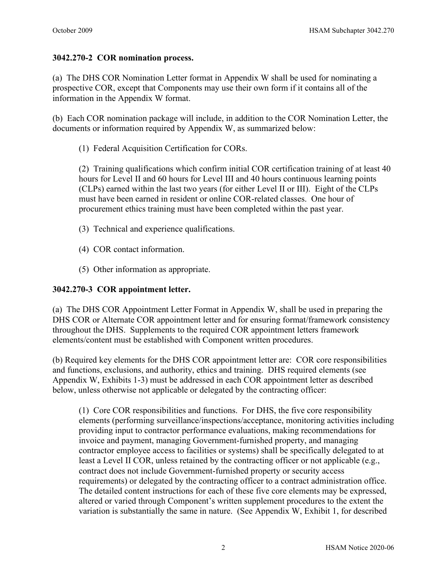#### **3042.270-2 COR nomination process.**

(a) The DHS COR Nomination Letter format in Appendix W shall be used for nominating a prospective COR, except that Components may use their own form if it contains all of the information in the Appendix W format.

(b) Each COR nomination package will include, in addition to the COR Nomination Letter, the documents or information required by Appendix W, as summarized below:

(1) Federal Acquisition Certification for CORs.

(2) Training qualifications which confirm initial COR certification training of at least 40 hours for Level II and 60 hours for Level III and 40 hours continuous learning points (CLPs) earned within the last two years (for either Level II or III). Eight of the CLPs must have been earned in resident or online COR-related classes. One hour of procurement ethics training must have been completed within the past year.

- (3) Technical and experience qualifications.
- (4) COR contact information.
- (5) Other information as appropriate.

### **3042.270-3 COR appointment letter.**

(a) The DHS COR Appointment Letter Format in Appendix W, shall be used in preparing the DHS COR or Alternate COR appointment letter and for ensuring format/framework consistency throughout the DHS. Supplements to the required COR appointment letters framework elements/content must be established with Component written procedures.

(b) Required key elements for the DHS COR appointment letter are: COR core responsibilities and functions, exclusions, and authority, ethics and training. DHS required elements (see Appendix W, Exhibits 1-3) must be addressed in each COR appointment letter as described below, unless otherwise not applicable or delegated by the contracting officer:

(1) Core COR responsibilities and functions. For DHS, the five core responsibility elements (performing surveillance/inspections/acceptance, monitoring activities including providing input to contractor performance evaluations, making recommendations for invoice and payment, managing Government-furnished property, and managing contractor employee access to facilities or systems) shall be specifically delegated to at least a Level II COR, unless retained by the contracting officer or not applicable (e.g., contract does not include Government-furnished property or security access requirements) or delegated by the contracting officer to a contract administration office. The detailed content instructions for each of these five core elements may be expressed, altered or varied through Component's written supplement procedures to the extent the variation is substantially the same in nature. (See Appendix W, Exhibit 1, for described